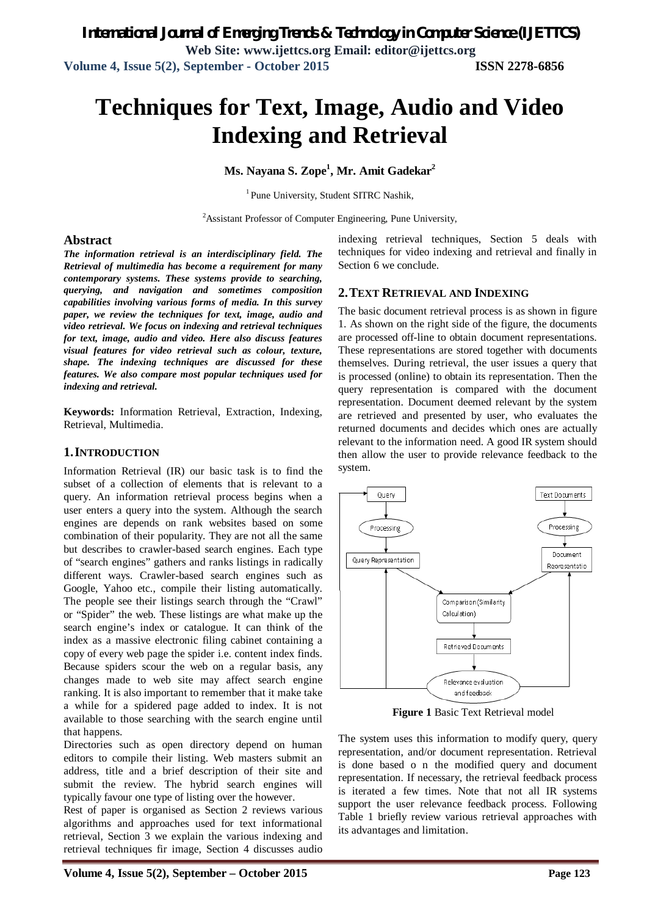# **Techniques for Text, Image, Audio and Video Indexing and Retrieval**

**Ms. Nayana S. Zope<sup>1</sup> , Mr. Amit Gadekar<sup>2</sup>**

<sup>1</sup> Pune University, Student SITRC Nashik,

 $2A$ ssistant Professor of Computer Engineering, Pune University,

#### **Abstract**

*The information retrieval is an interdisciplinary field. The Retrieval of multimedia has become a requirement for many contemporary systems. These systems provide to searching, querying, and navigation and sometimes composition capabilities involving various forms of media. In this survey paper, we review the techniques for text, image, audio and video retrieval. We focus on indexing and retrieval techniques for text, image, audio and video. Here also discuss features visual features for video retrieval such as colour, texture, shape. The indexing techniques are discussed for these features. We also compare most popular techniques used for indexing and retrieval.*

**Keywords:** Information Retrieval, Extraction, Indexing, Retrieval, Multimedia.

#### **1.INTRODUCTION**

Information Retrieval (IR) our basic task is to find the subset of a collection of elements that is relevant to a query. An information retrieval process begins when a user enters a query into the system. Although the search engines are depends on rank websites based on some combination of their popularity. They are not all the same but describes to crawler-based search engines. Each type of "search engines" gathers and ranks listings in radically different ways. Crawler-based search engines such as Google, Yahoo etc., compile their listing automatically. The people see their listings search through the "Crawl" or "Spider" the web. These listings are what make up the search engine's index or catalogue. It can think of the index as a massive electronic filing cabinet containing a copy of every web page the spider i.e. content index finds. Because spiders scour the web on a regular basis, any changes made to web site may affect search engine ranking. It is also important to remember that it make take a while for a spidered page added to index. It is not available to those searching with the search engine until that happens.

Directories such as open directory depend on human editors to compile their listing. Web masters submit an address, title and a brief description of their site and submit the review. The hybrid search engines will typically favour one type of listing over the however.

Rest of paper is organised as Section 2 reviews various algorithms and approaches used for text informational retrieval, Section 3 we explain the various indexing and retrieval techniques fir image, Section 4 discusses audio

indexing retrieval techniques, Section 5 deals with techniques for video indexing and retrieval and finally in Section 6 we conclude.

#### **2.TEXT RETRIEVAL AND INDEXING**

The basic document retrieval process is as shown in figure 1. As shown on the right side of the figure, the documents are processed off-line to obtain document representations. These representations are stored together with documents themselves. During retrieval, the user issues a query that is processed (online) to obtain its representation. Then the query representation is compared with the document representation. Document deemed relevant by the system are retrieved and presented by user, who evaluates the returned documents and decides which ones are actually relevant to the information need. A good IR system should then allow the user to provide relevance feedback to the system.



**Figure 1** Basic Text Retrieval model

The system uses this information to modify query, query representation, and/or document representation. Retrieval is done based o n the modified query and document representation. If necessary, the retrieval feedback process is iterated a few times. Note that not all IR systems support the user relevance feedback process. Following Table 1 briefly review various retrieval approaches with its advantages and limitation.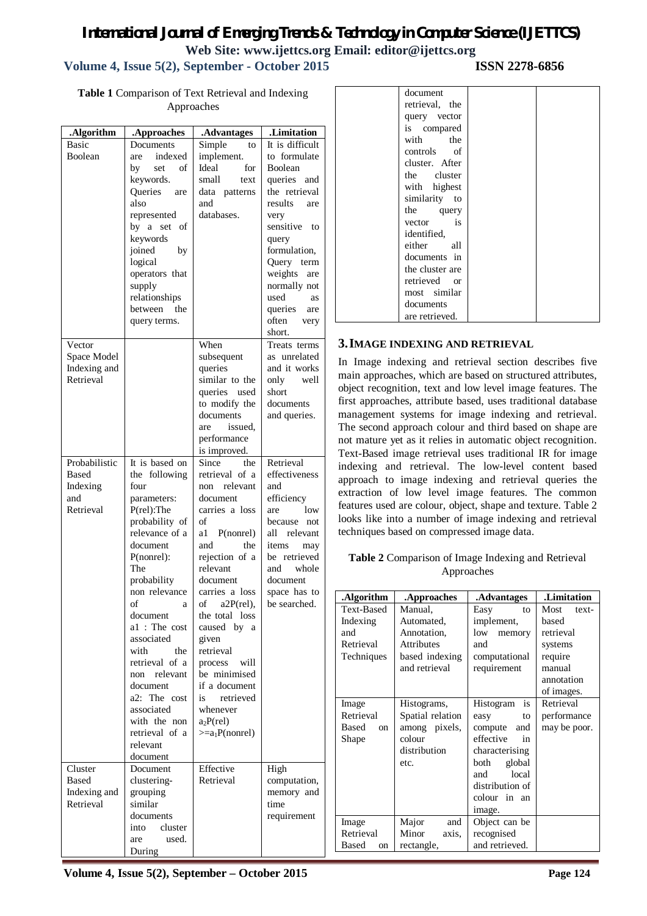## *International Journal of Emerging Trends & Technology in Computer Science (IJETTCS)* **Web Site: www.ijettcs.org Email: editor@ijettcs.org**

## **Volume 4, Issue 5(2), September - October 2015 ISSN 2278-6856**

**Table 1** Comparison of Text Retrieval and Indexing Approaches

| .Algorithm<br>Basic<br><b>Boolean</b>                  | .Approaches<br>Documents<br>indexed<br>are<br>of<br>by<br>set<br>keywords.<br>Queries<br>are<br>also<br>represented<br>by a set<br>of<br>keywords<br>joined<br>by<br>logical<br>operators that<br>supply<br>relationships<br>between the                                                                                                                                             | .Advantages<br>Simple<br>to<br>implement.<br>Ideal<br>for<br>small<br>text<br>data patterns<br>and<br>databases.                                                                                                                                                                                                                                                                      | .Limitation<br>It is difficult<br>to formulate<br>Boolean<br>queries<br>and<br>the retrieval<br>results<br>are<br>very<br>sensitive<br>to<br>query<br>formulation,<br>Query term<br>weights<br>are<br>normally not<br>used<br>as<br>queries<br>are |
|--------------------------------------------------------|--------------------------------------------------------------------------------------------------------------------------------------------------------------------------------------------------------------------------------------------------------------------------------------------------------------------------------------------------------------------------------------|---------------------------------------------------------------------------------------------------------------------------------------------------------------------------------------------------------------------------------------------------------------------------------------------------------------------------------------------------------------------------------------|----------------------------------------------------------------------------------------------------------------------------------------------------------------------------------------------------------------------------------------------------|
| Vector<br>Space Model<br>Indexing and<br>Retrieval     | query terms.                                                                                                                                                                                                                                                                                                                                                                         | When<br>subsequent<br>queries<br>similar to the<br>queries used<br>to modify the<br>documents<br>issued,<br>are<br>performance<br>is improved.                                                                                                                                                                                                                                        | often<br>very<br>short.<br>Treats terms<br>as unrelated<br>and it works<br>only well<br>short<br>documents<br>and queries.                                                                                                                         |
| Probabilistic<br>Based<br>Indexing<br>and<br>Retrieval | It is based on<br>the following<br>four<br>parameters:<br>P(rel):The<br>probability of<br>relevance of a<br>document<br>P(nonrel):<br>The<br>probability<br>non relevance<br>of<br>a<br>document<br>a1 : The cost<br>associated<br>with<br>the<br>retrieval of a<br>non relevant<br>document<br>a2: The cost<br>associated<br>with the non<br>retrieval of a<br>relevant<br>document | Since<br>the<br>retrieval of a<br>relevant<br>non<br>document<br>carries a loss<br>of<br>P(nonrel)<br>a1<br>the<br>and<br>rejection of a<br>relevant<br>document<br>carries a loss<br>οf<br>$a2P$ (rel),<br>the total loss<br>caused by a<br>given<br>retrieval<br>process<br>will<br>be minimised<br>if a document<br>is<br>retrieved<br>whenever<br>$a2P$ (rel)<br>$>=a_1P(nonrel)$ | Retrieval<br>effectiveness<br>and<br>efficiency<br>1 <sub>ow</sub><br>are<br>because not<br>all<br>relevant<br>items<br>may<br>be retrieved<br>whole<br>and<br>document<br>space has to<br>be searched.                                            |
| Cluster<br>Based<br>Indexing and<br>Retrieval          | Document<br>clustering-<br>grouping<br>similar<br>documents<br>cluster<br>into<br>used.<br>are<br>During                                                                                                                                                                                                                                                                             | Effective<br>Retrieval                                                                                                                                                                                                                                                                                                                                                                | High<br>computation,<br>memory and<br>time<br>requirement                                                                                                                                                                                          |

| document        |  |
|-----------------|--|
| retrieval, the  |  |
| query vector    |  |
| is compared     |  |
| with the        |  |
| controls of     |  |
| cluster. After  |  |
| the cluster     |  |
| with highest    |  |
| similarity to   |  |
| the query       |  |
| vector is       |  |
| identified,     |  |
| either all      |  |
| documents in    |  |
| the cluster are |  |
| retrieved or    |  |
| most similar    |  |
| documents       |  |
| are retrieved.  |  |

#### **3.IMAGE INDEXING AND RETRIEVAL**

In Image indexing and retrieval section describes five main approaches, which are based on structured attributes, object recognition, text and low level image features. The first approaches, attribute based, uses traditional database management systems for image indexing and retrieval. The second approach colour and third based on shape are not mature yet as it relies in automatic object recognition. Text-Based image retrieval uses traditional IR for image indexing and retrieval. The low-level content based approach to image indexing and retrieval queries the extraction of low level image features. The common features used are colour, object, shape and texture. Table 2 looks like into a number of image indexing and retrieval techniques based on compressed image data.

#### **Table 2** Comparison of Image Indexing and Retrieval Approaches

| .Algorithm              | .Approaches       | .Advantages     | .Limitation   |  |
|-------------------------|-------------------|-----------------|---------------|--|
| Text-Based              | Manual,           | Easy<br>to      | Most<br>text- |  |
| Indexing                | Automated,        | implement,      | hased         |  |
| and                     | Annotation,       | low<br>memory   | retrieval     |  |
| Retrieval               | <b>Attributes</b> | and             | systems       |  |
| Techniques              | based indexing    | computational   | require       |  |
|                         | and retrieval     | requirement     | manual        |  |
|                         |                   |                 | annotation    |  |
|                         |                   |                 | of images.    |  |
| Image                   | Histograms,       | is<br>Histogram | Retrieval     |  |
| Retrieval               | Spatial relation  | easy<br>to      | performance   |  |
| <b>Based</b><br>$^{on}$ | among pixels,     | compute<br>and  | may be poor.  |  |
| Shape                   | colour            | effective<br>in |               |  |
|                         | distribution      | characterising  |               |  |
|                         | etc.              | global<br>both  |               |  |
|                         |                   | local<br>and    |               |  |
|                         |                   | distribution of |               |  |
|                         |                   | colour in an    |               |  |
|                         |                   | image.          |               |  |
| Image                   | Major<br>and      | Object can be   |               |  |
| Retrieval               | Minor<br>axis.    | recognised      |               |  |
| Based<br>on             | rectangle,        | and retrieved.  |               |  |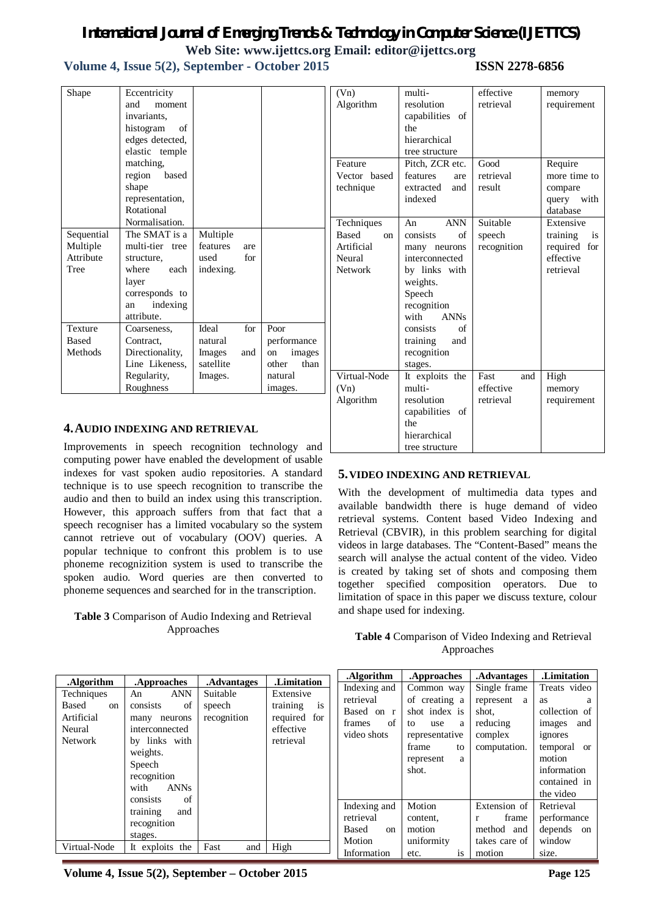## *International Journal of Emerging Trends & Technology in Computer Science (IJETTCS)* **Web Site: www.ijettcs.org Email: editor@ijettcs.org**

## **Volume 4, Issue 5(2), September - October 2015 ISSN 2278-6856**

| Shape                                     | Eccentricity<br>and<br>moment<br>invariants,<br>histogram<br>of<br>edges detected,<br>elastic temple<br>matching,<br>region<br>based<br>shape<br>representation, |                                         |            |                                                                 | (Vn)<br>Algorit<br>Feature<br>Vector<br>technic |
|-------------------------------------------|------------------------------------------------------------------------------------------------------------------------------------------------------------------|-----------------------------------------|------------|-----------------------------------------------------------------|-------------------------------------------------|
| Sequential                                | Rotational<br>Normalisation.<br>The SMAT is a                                                                                                                    | Multiple                                |            |                                                                 | Techni<br><b>Based</b>                          |
| Multiple<br>Attribute<br>Tree             | multi-tier tree<br>structure,<br>where<br>each<br>layer<br>corresponds to<br>indexing<br>an<br>attribute.                                                        | features<br>used<br>indexing.           | are<br>for |                                                                 | Artific<br>Neural<br>Netwo                      |
| <b>Texture</b><br><b>Based</b><br>Methods | Coarseness,<br>Contract.<br>Directionality,<br>Line Likeness,                                                                                                    | Ideal<br>natural<br>Images<br>satellite | for<br>and | Poor<br>performance<br>images<br><sub>on</sub><br>other<br>than |                                                 |
|                                           | Regularity,<br>Roughness                                                                                                                                         | Images.                                 |            | natural<br>images.                                              | Virtual<br>(Vn)                                 |

#### **4.AUDIO INDEXING AND RETRIEVAL**

Improvements in speech recognition technology and computing power have enabled the development of usable indexes for vast spoken audio repositories. A standard technique is to use speech recognition to transcribe the audio and then to build an index using this transcription. However, this approach suffers from that fact that a speech recogniser has a limited vocabulary so the system cannot retrieve out of vocabulary (OOV) queries. A popular technique to confront this problem is to use phoneme recognizition system is used to transcribe the spoken audio. Word queries are then converted to phoneme sequences and searched for in the transcription.

#### **Table 3** Comparison of Audio Indexing and Retrieval Approaches

| (Vn)<br>Algorithm                                                                     | multi-<br>resolution<br>capabilities of<br>the<br>hierarchical<br>tree structure                                                                                                                                 | effective<br>retrieval                | memory<br>requirement                                                 |
|---------------------------------------------------------------------------------------|------------------------------------------------------------------------------------------------------------------------------------------------------------------------------------------------------------------|---------------------------------------|-----------------------------------------------------------------------|
| Feature<br>Vector based<br>technique                                                  | Pitch, ZCR etc.<br>features<br>are<br>extracted<br>and<br>indexed                                                                                                                                                | Good<br>retrieval<br>result           | Require<br>more time to<br>compare<br>query with<br>database          |
| Techniques<br><b>Based</b><br><sub>on</sub><br>Artificial<br>Neural<br><b>Network</b> | <b>ANN</b><br>An<br>consists<br>of<br>many neurons<br>interconnected<br>by links with<br>weights.<br>Speech<br>recognition<br>with<br><b>ANNs</b><br>consists<br>of<br>training<br>and<br>recognition<br>stages. | Suitable<br>speech<br>recognition     | Extensive<br>training<br>is<br>required for<br>effective<br>retrieval |
| Virtual-Node<br>(Vn)<br>Algorithm                                                     | It exploits the<br>multi-<br>resolution<br>capabilities<br>of<br>the<br>hierarchical<br>tree structure                                                                                                           | Fast<br>and<br>effective<br>retrieval | High<br>memory<br>requirement                                         |

### **5.VIDEO INDEXING AND RETRIEVAL**

With the development of multimedia data types and available bandwidth there is huge demand of video retrieval systems. Content based Video Indexing and Retrieval (CBVIR), in this problem searching for digital videos in large databases. The "Content-Based" means the search will analyse the actual content of the video. Video is created by taking set of shots and composing them together specified composition operators. Due to limitation of space in this paper we discuss texture, colour and shape used for indexing.

| <b>Table 4</b> Comparison of Video Indexing and Retrieval |
|-----------------------------------------------------------|
| Approaches                                                |

|                                                                                   |                                                                                                                                                                     |                                                  |                                                                                             | .Algorithm                                                             | .Approaches                                                                                                                | .Advantages                                                                 | .Limitation                                                                                                                                      |
|-----------------------------------------------------------------------------------|---------------------------------------------------------------------------------------------------------------------------------------------------------------------|--------------------------------------------------|---------------------------------------------------------------------------------------------|------------------------------------------------------------------------|----------------------------------------------------------------------------------------------------------------------------|-----------------------------------------------------------------------------|--------------------------------------------------------------------------------------------------------------------------------------------------|
| .Algorithm<br>Techniques<br>Based<br>on<br>Artificial<br>Neural<br><b>Network</b> | .Approaches<br><b>ANN</b><br>An<br>consists<br>of<br>neurons<br>many<br>interconnected<br>by links with<br>weights.<br>Speech<br>recognition<br><b>ANNs</b><br>with | .Advantages<br>Suitable<br>speech<br>recognition | .Limitation<br>Extensive<br>training<br><i>is</i><br>required for<br>effective<br>retrieval | Indexing and<br>retrieval<br>Based on r<br>of<br>frames<br>video shots | Common way<br>of creating a<br>shot index is<br>to<br>use<br>a<br>representative<br>frame<br>to<br>represent<br>a<br>shot. | Single frame<br>represent a<br>shot.<br>reducing<br>complex<br>computation. | Treats video<br><b>as</b><br>a<br>collection of<br>images<br>and<br>ignores<br>temporal or<br>motion<br>information<br>contained in<br>the video |
|                                                                                   | consists<br>of<br>training<br>and<br>recognition<br>stages.                                                                                                         |                                                  |                                                                                             | Indexing and<br>retrieval<br>Based<br>on<br>Motion                     | Motion<br>content.<br>motion<br>uniformity                                                                                 | Extension of<br>frame<br>method and<br>takes care of                        | Retrieval<br>performance<br>depends on<br>window                                                                                                 |
| Virtual-Node                                                                      | It exploits the                                                                                                                                                     | and<br>Fast                                      | High                                                                                        | Information                                                            | etc.<br><b>1S</b>                                                                                                          | motion                                                                      | size.                                                                                                                                            |